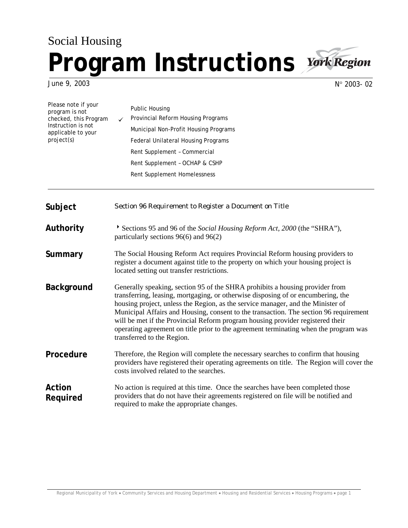## Social Housing **Program Instructions**



June 9, 2003

Please note if your

N° 2003- 02

| Please note il your<br>program is not<br>checked, this Program<br>Instruction is not<br>applicable to your<br>project(s) | <b>Public Housing</b><br>Provincial Reform Housing Programs<br>Municipal Non-Profit Housing Programs<br><b>Federal Unilateral Housing Programs</b><br>Rent Supplement - Commercial<br>Rent Supplement - OCHAP & CSHP<br>Rent Supplement Homelessness                                                                                                                                                                                                                                                                                                 |
|--------------------------------------------------------------------------------------------------------------------------|------------------------------------------------------------------------------------------------------------------------------------------------------------------------------------------------------------------------------------------------------------------------------------------------------------------------------------------------------------------------------------------------------------------------------------------------------------------------------------------------------------------------------------------------------|
| Subject                                                                                                                  | Section 96 Requirement to Register a Document on Title                                                                                                                                                                                                                                                                                                                                                                                                                                                                                               |
| Authority                                                                                                                | Sections 95 and 96 of the Social Housing Reform Act, 2000 (the "SHRA"),<br>particularly sections 96(6) and 96(2)                                                                                                                                                                                                                                                                                                                                                                                                                                     |
| Summary                                                                                                                  | The Social Housing Reform Act requires Provincial Reform housing providers to<br>register a document against title to the property on which your housing project is<br>located setting out transfer restrictions.                                                                                                                                                                                                                                                                                                                                    |
| <b>Background</b>                                                                                                        | Generally speaking, section 95 of the SHRA prohibits a housing provider from<br>transferring, leasing, mortgaging, or otherwise disposing of or encumbering, the<br>housing project, unless the Region, as the service manager, and the Minister of<br>Municipal Affairs and Housing, consent to the transaction. The section 96 requirement<br>will be met if the Provincial Reform program housing provider registered their<br>operating agreement on title prior to the agreement terminating when the program was<br>transferred to the Region. |
| Procedure                                                                                                                | Therefore, the Region will complete the necessary searches to confirm that housing<br>providers have registered their operating agreements on title. The Region will cover the<br>costs involved related to the searches.                                                                                                                                                                                                                                                                                                                            |
| Action<br>Required                                                                                                       | No action is required at this time. Once the searches have been completed those<br>providers that do not have their agreements registered on file will be notified and<br>required to make the appropriate changes.                                                                                                                                                                                                                                                                                                                                  |